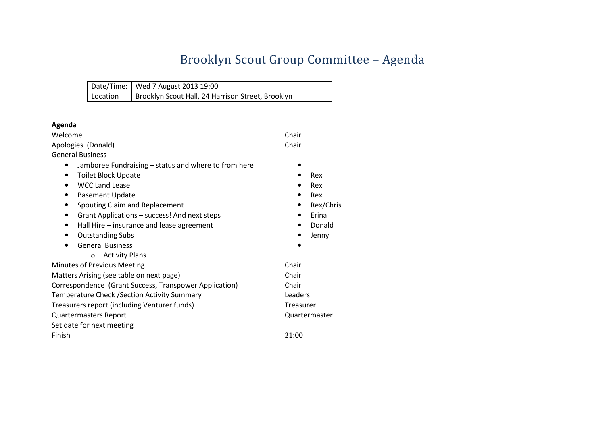## Brooklyn Scout Group Committee – Agenda

|          | Date/Time:   Wed 7 August 2013 19:00              |
|----------|---------------------------------------------------|
| Location | Brooklyn Scout Hall, 24 Harrison Street, Brooklyn |

| Agenda                                                    |               |  |  |  |  |
|-----------------------------------------------------------|---------------|--|--|--|--|
| Welcome                                                   | Chair         |  |  |  |  |
| Apologies (Donald)                                        | Chair         |  |  |  |  |
| <b>General Business</b>                                   |               |  |  |  |  |
| Jamboree Fundraising – status and where to from here<br>٠ |               |  |  |  |  |
| <b>Toilet Block Update</b>                                | Rex           |  |  |  |  |
| <b>WCC Land Lease</b>                                     | Rex           |  |  |  |  |
| <b>Basement Update</b><br>$\bullet$                       | Rex           |  |  |  |  |
| Spouting Claim and Replacement<br>$\bullet$               | Rex/Chris     |  |  |  |  |
| Grant Applications - success! And next steps<br>$\bullet$ | Erina         |  |  |  |  |
| Hall Hire – insurance and lease agreement<br>$\bullet$    | Donald        |  |  |  |  |
| <b>Outstanding Subs</b>                                   | Jenny         |  |  |  |  |
| <b>General Business</b>                                   |               |  |  |  |  |
| <b>Activity Plans</b><br>$\circ$                          |               |  |  |  |  |
| Minutes of Previous Meeting                               | Chair         |  |  |  |  |
| Matters Arising (see table on next page)                  | Chair         |  |  |  |  |
| Correspondence (Grant Success, Transpower Application)    | Chair         |  |  |  |  |
| Temperature Check / Section Activity Summary              | Leaders       |  |  |  |  |
| Treasurers report (including Venturer funds)              | Treasurer     |  |  |  |  |
| <b>Quartermasters Report</b>                              | Quartermaster |  |  |  |  |
| Set date for next meeting                                 |               |  |  |  |  |
| Finish                                                    | 21:00         |  |  |  |  |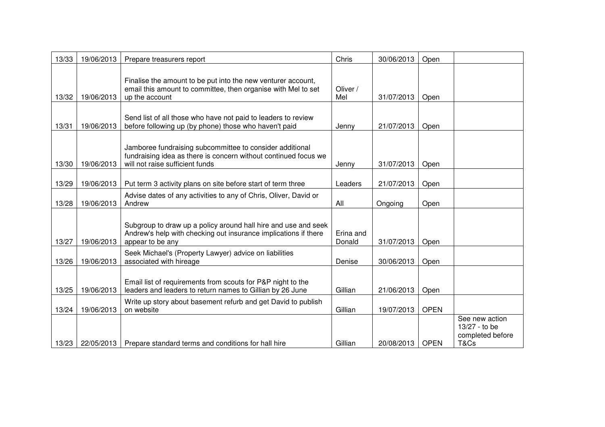| 13/33 | 19/06/2013 | Prepare treasurers report                                                                                                                                      | Chris               | 30/06/2013 | Open        |                                                             |
|-------|------------|----------------------------------------------------------------------------------------------------------------------------------------------------------------|---------------------|------------|-------------|-------------------------------------------------------------|
| 13/32 | 19/06/2013 | Finalise the amount to be put into the new venturer account,<br>email this amount to committee, then organise with Mel to set<br>up the account                | Oliver /<br>Mel     | 31/07/2013 | Open        |                                                             |
| 13/31 | 19/06/2013 | Send list of all those who have not paid to leaders to review<br>before following up (by phone) those who haven't paid                                         | Jenny               | 21/07/2013 | Open        |                                                             |
| 13/30 | 19/06/2013 | Jamboree fundraising subcommittee to consider additional<br>fundraising idea as there is concern without continued focus we<br>will not raise sufficient funds | Jenny               | 31/07/2013 | Open        |                                                             |
| 13/29 | 19/06/2013 | Put term 3 activity plans on site before start of term three                                                                                                   | Leaders             | 21/07/2013 | Open        |                                                             |
| 13/28 | 19/06/2013 | Advise dates of any activities to any of Chris, Oliver, David or<br>Andrew                                                                                     | All                 | Ongoing    | Open        |                                                             |
| 13/27 | 19/06/2013 | Subgroup to draw up a policy around hall hire and use and seek<br>Andrew's help with checking out insurance implications if there<br>appear to be any          | Erina and<br>Donald | 31/07/2013 | Open        |                                                             |
| 13/26 | 19/06/2013 | Seek Michael's (Property Lawyer) advice on liabilities<br>associated with hireage                                                                              | Denise              | 30/06/2013 | Open        |                                                             |
| 13/25 | 19/06/2013 | Email list of requirements from scouts for P&P night to the<br>leaders and leaders to return names to Gillian by 26 June                                       | Gillian             | 21/06/2013 | Open        |                                                             |
| 13/24 | 19/06/2013 | Write up story about basement refurb and get David to publish<br>on website                                                                                    | Gillian             | 19/07/2013 | <b>OPEN</b> |                                                             |
| 13/23 | 22/05/2013 | Prepare standard terms and conditions for hall hire                                                                                                            | Gillian             | 20/08/2013 | <b>OPEN</b> | See new action<br>13/27 - to be<br>completed before<br>T&Cs |